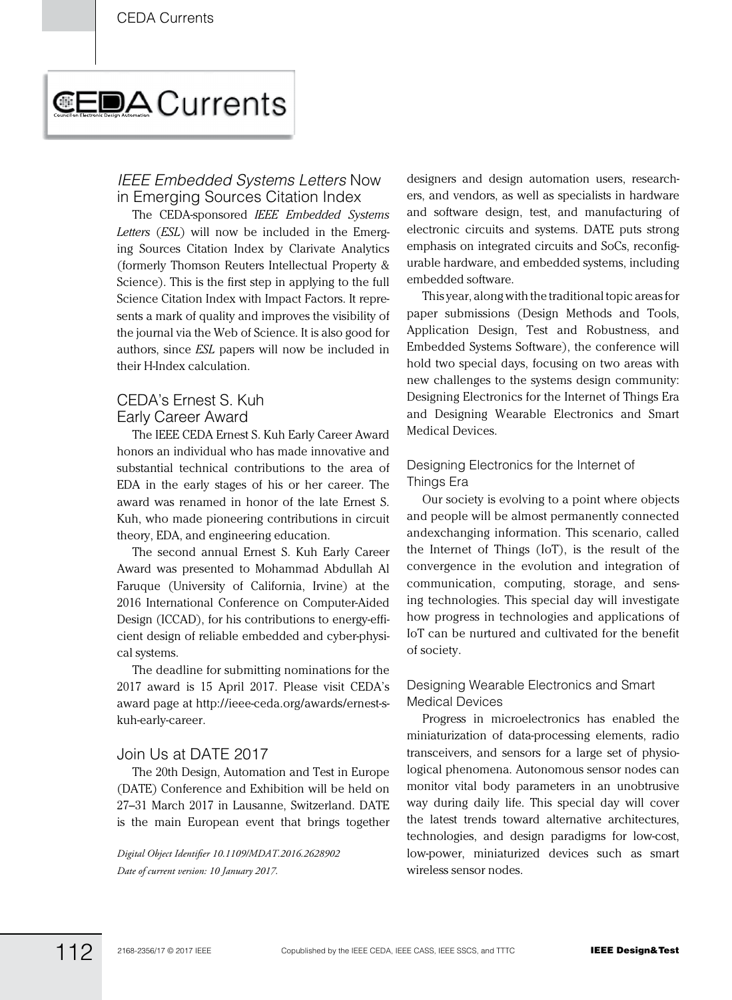# **CEDA** Currents

### *IEEE Embedded Systems Letters* Now in Emerging Sources Citation Index

The CEDA-sponsored *IEEE Embedded Systems Letters* (*ESL*) will now be included in the Emerging Sources Citation Index by Clarivate Analytics (formerly Thomson Reuters Intellectual Property & Science). This is the first step in applying to the full Science Citation Index with Impact Factors. It represents a mark of quality and improves the visibility of the journal via the Web of Science. It is also good for authors, since *ESL* papers will now be included in their H-Index calculation.

## CEDA's Ernest S. Kuh Early Career Award

The IEEE CEDA Ernest S. Kuh Early Career Award honors an individual who has made innovative and substantial technical contributions to the area of EDA in the early stages of his or her career. The award was renamed in honor of the late Ernest S. Kuh, who made pioneering contributions in circuit theory, EDA, and engineering education.

The second annual Ernest S. Kuh Early Career Award was presented to Mohammad Abdullah Al Faruque (University of California, Irvine) at the 2016 International Conference on Computer-Aided Design (ICCAD), for his contributions to energy-efficient design of reliable embedded and cyber-physical systems.

The deadline for submitting nominations for the 2017 award is 15 April 2017. Please visit CEDA's award page at http://ieee-ceda.org/awards/ernest-skuh-early-career.

#### Join Us at DATE 2017

The 20th Design, Automation and Test in Europe (DATE) Conference and Exhibition will be held on 27–31 March 2017 in Lausanne, Switzerland. DATE is the main European event that brings together

*Digital Object Identifier 10.1109/MDAT.2016.2628902 Date of current version: 10 January 2017.*

designers and design automation users, researchers, and vendors, as well as specialists in hardware and software design, test, and manufacturing of electronic circuits and systems. DATE puts strong emphasis on integrated circuits and SoCs, reconfigurable hardware, and embedded systems, including embedded software.

This year, along with the traditional topic areas for paper submissions (Design Methods and Tools, Application Design, Test and Robustness, and Embedded Systems Software), the conference will hold two special days, focusing on two areas with new challenges to the systems design community: Designing Electronics for the Internet of Things Era and Designing Wearable Electronics and Smart Medical Devices.

#### Designing Electronics for the Internet of Things Era

Our society is evolving to a point where objects and people will be almost permanently connected andexchanging information. This scenario, called the Internet of Things (IoT), is the result of the convergence in the evolution and integration of communication, computing, storage, and sensing technologies. This special day will investigate how progress in technologies and applications of IoT can be nurtured and cultivated for the benefit of society.

#### Designing Wearable Electronics and Smart Medical Devices

Progress in microelectronics has enabled the miniaturization of data-processing elements, radio transceivers, and sensors for a large set of physiological phenomena. Autonomous sensor nodes can monitor vital body parameters in an unobtrusive way during daily life. This special day will cover the latest trends toward alternative architectures, technologies, and design paradigms for low-cost, low-power, miniaturized devices such as smart wireless sensor nodes.